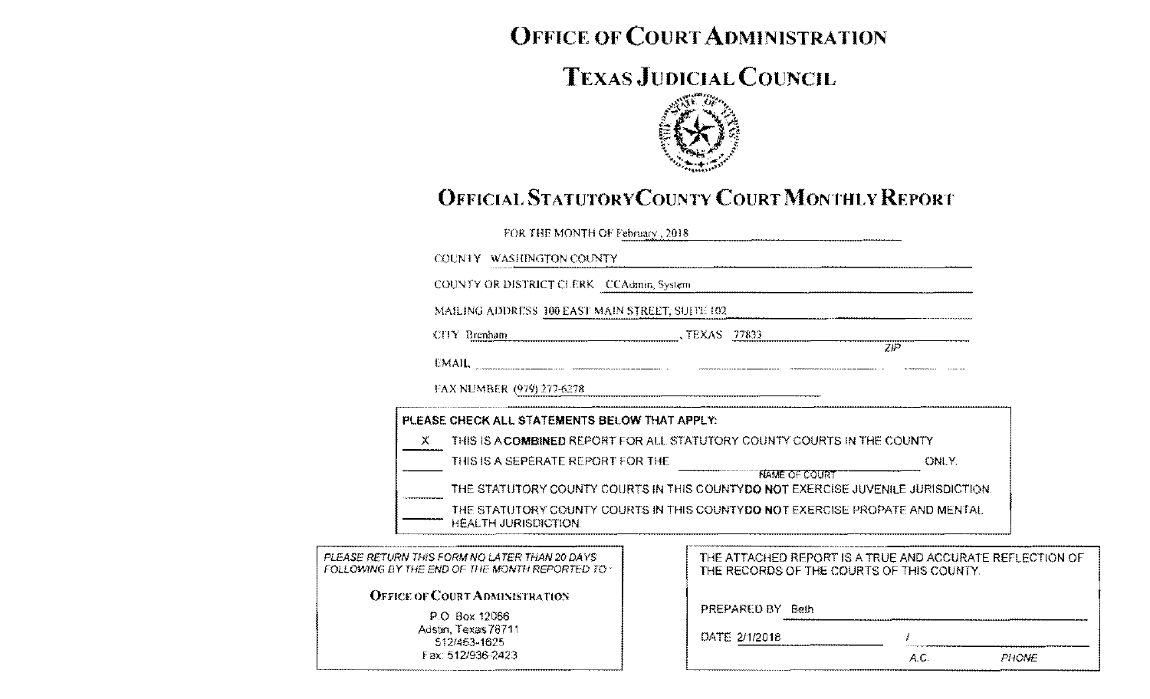# **OFFICE OF COURT ADMINISTRATION**

# **TEXAS JUDICIAL COUNCIL**



# **OFFICIAL STATUTORY COUNTY COURT MONTHLY REPORT**

| FOR THE MONTH OF February, 2018                                                                   |                                                                                                          |              |  |  |  |  |  |  |  |
|---------------------------------------------------------------------------------------------------|----------------------------------------------------------------------------------------------------------|--------------|--|--|--|--|--|--|--|
| COUNTY WASHINGTON COUNTY                                                                          |                                                                                                          |              |  |  |  |  |  |  |  |
| COUNTY OR DISTRICT CLERK CCAdmin, System                                                          |                                                                                                          |              |  |  |  |  |  |  |  |
| MAILING ADDRESS 100 EAST MAIN STREET, SUITE 102                                                   |                                                                                                          |              |  |  |  |  |  |  |  |
| CITY Brenham<br>$T_{\rm max} = 77833$                                                             | Z/F                                                                                                      |              |  |  |  |  |  |  |  |
|                                                                                                   |                                                                                                          |              |  |  |  |  |  |  |  |
| FAX NUMBER (979) 277-6278                                                                         |                                                                                                          |              |  |  |  |  |  |  |  |
| PLEASE CHECK ALL STATEMENTS BELOW THAT APPLY:                                                     |                                                                                                          |              |  |  |  |  |  |  |  |
| X.                                                                                                | THIS IS A COMBINED REPORT FOR ALL STATUTORY COUNTY COURTS IN THE COUNTY                                  |              |  |  |  |  |  |  |  |
| THIS IS A SEPERATE REPORT FOR THE                                                                 |                                                                                                          | ONLY.        |  |  |  |  |  |  |  |
|                                                                                                   | <b>NAME OF COURT</b><br>THE STATUTORY COUNTY COURTS IN THIS COUNTYDO NOT EXERCISE JUVENILE JURISDICTION. |              |  |  |  |  |  |  |  |
| <b>HEALTH JURISDICTION.</b>                                                                       | THE STATUTORY COUNTY COURTS IN THIS COUNTYDO NOT EXERCISE PROPATE AND MENTAL.                            |              |  |  |  |  |  |  |  |
| PLEASE RETURN THIS FORM NO LATER THAN 20 DAYS.<br>FOLLOWING BY THE END OF THE MONTH REPORTED TO . | THE ATTACHED REPORT IS A TRUE AND ACCURATE REFLECTION OF<br>THE RECORDS OF THE COURTS OF THIS COUNTY.    |              |  |  |  |  |  |  |  |
| <b>OFFICE OF COURT ADMINISTRATION</b>                                                             |                                                                                                          |              |  |  |  |  |  |  |  |
| P.O. Box 12066                                                                                    | PREPARED BY Beth                                                                                         |              |  |  |  |  |  |  |  |
| Adstin, Texas 78711<br>512/463-1625                                                               | DATE 2/1/2018                                                                                            |              |  |  |  |  |  |  |  |
| Fax: 512/936-2423                                                                                 | A.C.                                                                                                     | <b>PHONE</b> |  |  |  |  |  |  |  |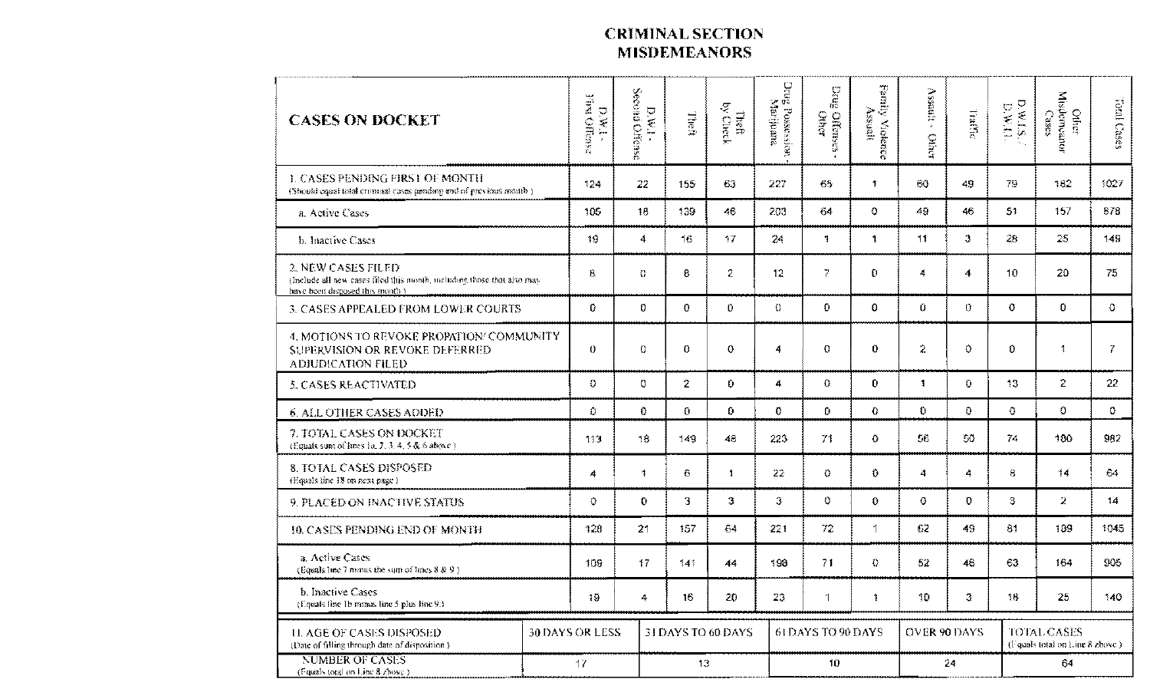## **CRIMINAL SECTION MISDEMEANORS**

| <b>CASES ON DOCKET</b><br>L CASES PENDING FIRST OF MONTH                                                                       |                        | <b>D.W.I.</b><br>Hind Officer | Second Officiate<br>$\mathbb{D} \mathbf{W} \mathbf{I}$ - | Then 1         | by Check<br>$\mu$ s $\mu$ | <b>Drug Possession</b><br>Marijuana | <b>Bung</b><br>Oftenses<br><b>Other</b> | Family Violence<br>Assaalt | Assault -<br><b>Quint</b> | $\frac{1}{2}$  | D.W.I.S.7 | Misdemeanor<br>Other<br>$\cos$                  | Total Cases |
|--------------------------------------------------------------------------------------------------------------------------------|------------------------|-------------------------------|----------------------------------------------------------|----------------|---------------------------|-------------------------------------|-----------------------------------------|----------------------------|---------------------------|----------------|-----------|-------------------------------------------------|-------------|
| (Should equal total criminal cases pending end of previous month.).                                                            |                        | 124                           | 22                                                       | 155            | 63                        | 227                                 | 65                                      | 1                          | 60                        | 49             | 79        | 182                                             | 1027        |
| a. Active Cases                                                                                                                |                        | 105                           | 18                                                       | 139            | 46                        | 203                                 | 64                                      | Ô.                         | 49                        | 46             | 51        | 157                                             | 878         |
| b. Inactive Cases                                                                                                              |                        | 19                            | 4                                                        | 16             | 17                        | 24                                  | 1                                       | 1                          | 11                        | $\mathfrak{B}$ | 28        | 25                                              | 149         |
| 2. NEW CASES FILED<br>(Include all new cases filed this month, meluding those that also may<br>have been disposed this month Y |                        | 8                             | $\mathbb{C}$                                             | 8              | 2                         | 12                                  | 7                                       | 0                          | 4                         | 4              | 10        | 20                                              | 75          |
| 3. CASES APPEALED FROM LOWER COURTS                                                                                            |                        | $\mathbf{0}$                  | 0                                                        | $\Omega$       | $\mathbb O$               | $\Omega$                            | $\mathbf{0}$                            | 0                          | $\theta$                  | $\mathbf{0}$   | 0         | Ð                                               | 0           |
| 4. MOTIONS TO REVOKE PROPATION/ COMMUNITY<br>SUPERVISION OR REVOKE DEFERRED<br>ADJUDICATION FILED                              |                        | 0                             | 0                                                        | $\mathbf 0$    | $\mathbf 0$               | 4                                   | $\circ$                                 | 0                          | $\mathbf{z}$              | 0              | 0         | 1                                               | 7           |
| 5. CASES REACTIVATED                                                                                                           |                        | O.                            | $\circ$                                                  | $\overline{2}$ | 0                         | 4                                   | $\mathbf 0$                             | 0.                         | $\mathbf{1}$              | 0.             | 13        | $\bar{z}$                                       | 22          |
| 6. ALL OTHER CASES ADDED                                                                                                       |                        | Ű                             | 0.                                                       | Ŭ.             | 0.                        | $\mathbf 0$                         | $\mathbf{D}$                            | $\ddot{\mathrm{o}}$        | $\mathbf{0}$              | D.             | Ū.        | 0                                               | O.          |
| 7. TOTAL CASES ON DOCKET<br>(Equals sum of lines 1a, 2, 3, 4, 5 & 6 above).                                                    |                        | 113                           | 18                                                       | 149            | 48                        | 223                                 | 71                                      | O.                         | 56                        | 50             | 74        | 180                                             | 982         |
| 8. TOTAL CASES DISPOSED<br>(Equals line 18 on next page)                                                                       |                        | 4                             | $\ddagger$                                               | 6              | 1                         | 22                                  | $\circ$                                 | O                          | 4                         | 4              | 8         | 14                                              | 64          |
| 9. PLACED ON INACTIVE STATUS                                                                                                   |                        | Ô.                            | Û.                                                       | 3              | З                         | 3                                   | ٥.                                      | 0.                         | O.                        | 0              | 3.        | $\overline{2}$                                  | 14          |
| 10. CASES PENDING END OF MONTH                                                                                                 |                        | 128                           | 21                                                       | 157            | 64                        | 221                                 | 72                                      | 传                          | 62                        | 49             | 81        | 189                                             | 1045        |
| a. Active Cases<br>(Equals line 7 minus the sum of lines $8 \& 9$ )                                                            |                        | 109                           | 17                                                       | 141            | 44                        | 198                                 | 71                                      | O                          | 52                        | 46             | 63        | 164                                             | 905         |
| b. Inactive Cases<br>(Equals line 1b minus line 5 plus line 9.).                                                               |                        | 19                            | 4                                                        | 16             | 20                        | 23                                  | 1                                       | $\ddagger$                 | 10                        | 3              | 18        | 25                                              | 140         |
| <b>U. AGE OF CASES DISPOSED</b><br>(Date of filling through date of disposition)                                               | <b>30 DAYS OR LESS</b> |                               |                                                          |                | 31 DAYS TO 60 DAYS        |                                     | <b>61DAYS TO 90 DAYS</b>                |                            | <b>OVER 90 DAYS</b>       |                |           | TOTAL CASES<br>(Fquals total on Line 8 zbove.). |             |
| NUMBER OF CASES<br>(Fquals total on Line 8 zboye.)                                                                             |                        | 17                            |                                                          | 13             |                           |                                     | 10                                      | 24                         |                           |                | 64        |                                                 |             |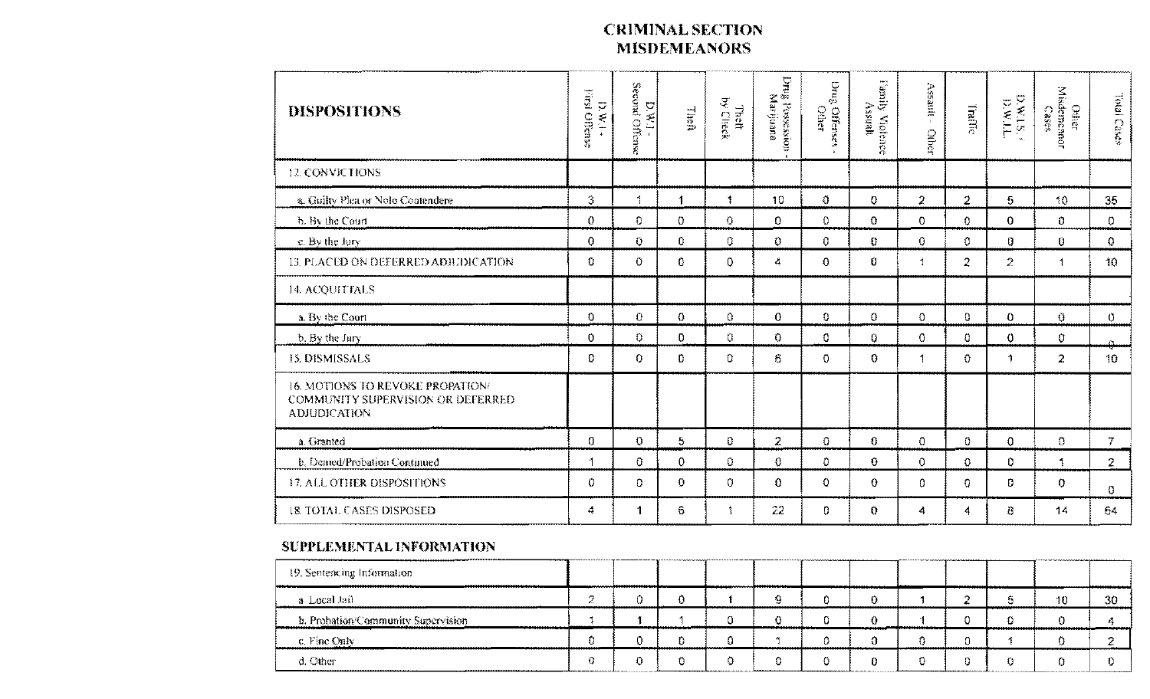## **CRIMINAL SECTION MISDEMEANORS**

| <b>DISPOSITIONS</b>                                                                          | First Offense<br><b>D.W.I.</b> | Second Offense<br>$D.M.I$ - | UNIL                 | द्भ<br>Theit<br><b>Clieck</b> | Drug Possession | Drug Offenses<br>Other | Appropria<br>Assualt<br>Violence | Assatit -<br>Other | $1$ after         | D.W.I.L.       | Misdementor<br>$\frac{1}{2}$<br>$C$ ases | Total Cases      |
|----------------------------------------------------------------------------------------------|--------------------------------|-----------------------------|----------------------|-------------------------------|-----------------|------------------------|----------------------------------|--------------------|-------------------|----------------|------------------------------------------|------------------|
| 12. CONVICTIONS                                                                              |                                |                             |                      |                               |                 |                        |                                  |                    |                   |                |                                          |                  |
| a. Guilty Plea or Nolo Contendere                                                            | 3                              | $\Delta$                    | $\blacktriangleleft$ | $\ddagger$                    | 10              | $\mathbf{Q}$           | $\circ$                          | $\overline{2}$     | $\mathbf 2$       | 5              | 10                                       | 35               |
| b. By the Court                                                                              | 0                              | $\mathbb O$                 | $\mathbf 0$          | O                             | $\mathbf{O}$    | $\Omega$               | 0                                | 0                  | Û                 | 0              | Û                                        | $\circ$          |
| c. By the Jury                                                                               | $\circ$                        | $\ddot{\mathbf{O}}$         | 0                    | 0                             | $\Omega$        | $\mathbf 0$            | 0                                | $\bullet$          | $\ddot{\text{o}}$ | Ū.             | $\mathbf 0$                              | $\Omega$         |
| 13. PLACED ON DEFERRED ADRIDICATION                                                          | O                              | 0                           | 0                    | 0                             | 4               | $\ddot{\mathbf{0}}$    | Û                                | $\mathfrak f$      | $\overline{2}$    | $\overline{2}$ | -1                                       | 10 <sup>10</sup> |
| <b>14. ACQUITTALS</b>                                                                        |                                |                             |                      |                               |                 |                        |                                  |                    |                   |                |                                          |                  |
| a. By the Court                                                                              | 0                              | $\bullet$                   | $\mathbf{O}$         | $\mathbb O$                   | 0               | 0                      | $\mathbf{O}$                     | $\bullet$          | $\bullet$         | 0              | $\mathbb{G}$                             | $\bullet$        |
| b. By the Jury                                                                               | 0                              | 0                           | 0                    | Ü                             | 0               | C                      | Û                                | $\sigma$           | 0                 | 0              | Û                                        | Ö.               |
| <b>15. DISMISSALS</b>                                                                        | o                              | $\bullet$                   | Đ.                   | 0                             | 6               | 0                      | 0                                | 1                  | 0                 | 1              | $\boldsymbol{2}$                         | 10 <sub>10</sub> |
| 16. MOTIONS TO REVOKE PROPATION/<br>COMMUNITY SUPERVISION OR DEFERRED<br><b>ADJUDICATION</b> |                                |                             |                      |                               |                 |                        |                                  |                    |                   |                |                                          |                  |
| a. Granted                                                                                   | 0                              | $\mathbf{0}$                | 5                    | Û                             | $\overline{z}$  | 0                      | 0                                | $\circ$            | $\bullet$         | 0              | $\Omega$                                 | $\overline{7}$   |
| b. Denied/Probation Continued                                                                | 4                              | $\overline{0}$              | $\mathbf{O}$         | Û                             | $\mathbf{0}$    | 0                      | 0                                | 0                  | $\mathbb{O}$      | 0              | $\ddagger$                               | $\overline{2}$   |
| 17. ALL OTHER DISPOSITIONS                                                                   | 0                              | 0                           | 0.                   | 0                             | $\mathbf{0}$    | 0                      | 0                                | 0                  | $\circ$           | D              | $\bullet$                                | 0                |
| 18. TOTAL CASES DISPOSED                                                                     | 4                              | 1                           | 6                    | J.                            | 22              | D                      | 0                                | 4                  | 4                 | 8              | 14                                       | 64               |

#### SUPPLEMENTAL INFORMATION

| 19. Sentencing Information         |  |  |  |  |   |    |    |
|------------------------------------|--|--|--|--|---|----|----|
| a. Local Jail                      |  |  |  |  | - | 10 | 30 |
| b. Probation/Community Supervision |  |  |  |  |   |    |    |
| c. Fine Only                       |  |  |  |  | Δ |    |    |
| d. Other                           |  |  |  |  |   |    |    |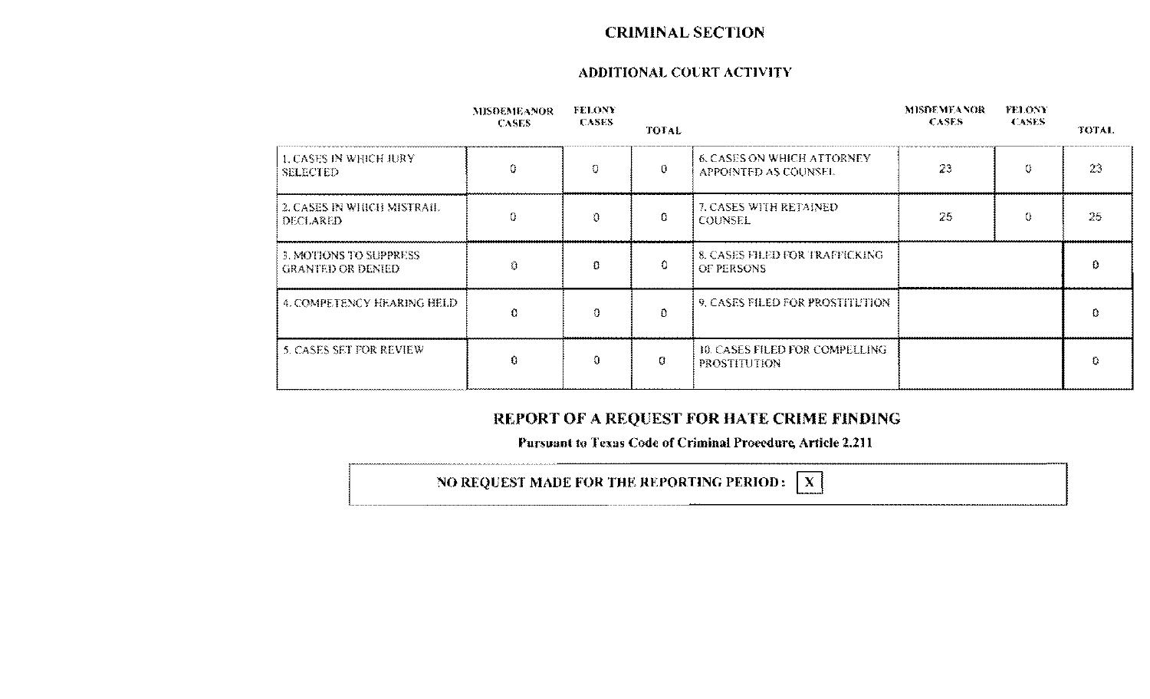#### **CRIMINAL SECTION**

#### ADDITIONAL COURT ACTIVITY

|                                                           | <b>MISDEMEANOR</b><br><b>CASES</b> | <b>FELONY</b><br><b>CASES</b> | TOTAL    |                                                            | <b>MISDEMEANOR</b><br><b>CASES</b> | <b>FELONY</b><br>-CASES. | TOTAL. |
|-----------------------------------------------------------|------------------------------------|-------------------------------|----------|------------------------------------------------------------|------------------------------------|--------------------------|--------|
| 1, CASES IN WHICH JURY<br><b>SELECTED</b>                 | 0                                  | 0                             | 0        | <b>6. CASES ON WHICH ATTORNEY</b><br>APPOINTED AS COUNSEL. | 23                                 | $\mathbf 0$              | 23     |
| 2. CASES IN WHICH MISTRAIL<br>DECLARED                    | 0                                  | n                             | $\Omega$ | 7. CASES WITH RETAINED<br><b>COUNSEL</b>                   | 25                                 | ũ                        | 25     |
| <b>3. MOTIONS TO SUPPRESS</b><br><b>GRANTED OR DENIED</b> | O                                  |                               | 0.       | 8. CASES FILED FOR TRAFFICKING.<br>OF PERSONS              |                                    |                          |        |
| 4. COMPETENCY HEARING HELD                                | €                                  | 0.                            | Û        | 9. CASES FILED FOR PROSTITUTION                            |                                    |                          |        |
| 5. CASES SET FOR REVIEW                                   | $\Omega$                           | 0.                            | ο        | 10. CASES FILED FOR COMPELLING<br><b>PROSTITUTION</b>      |                                    |                          |        |

# REPORT OF A REQUEST FOR HATE CRIME FINDING

Pursuant to Texas Code of Criminal Procedure, Article 2.211

NO REQUEST MADE FOR THE REPORTING PERIOD:  $\boxed{X}$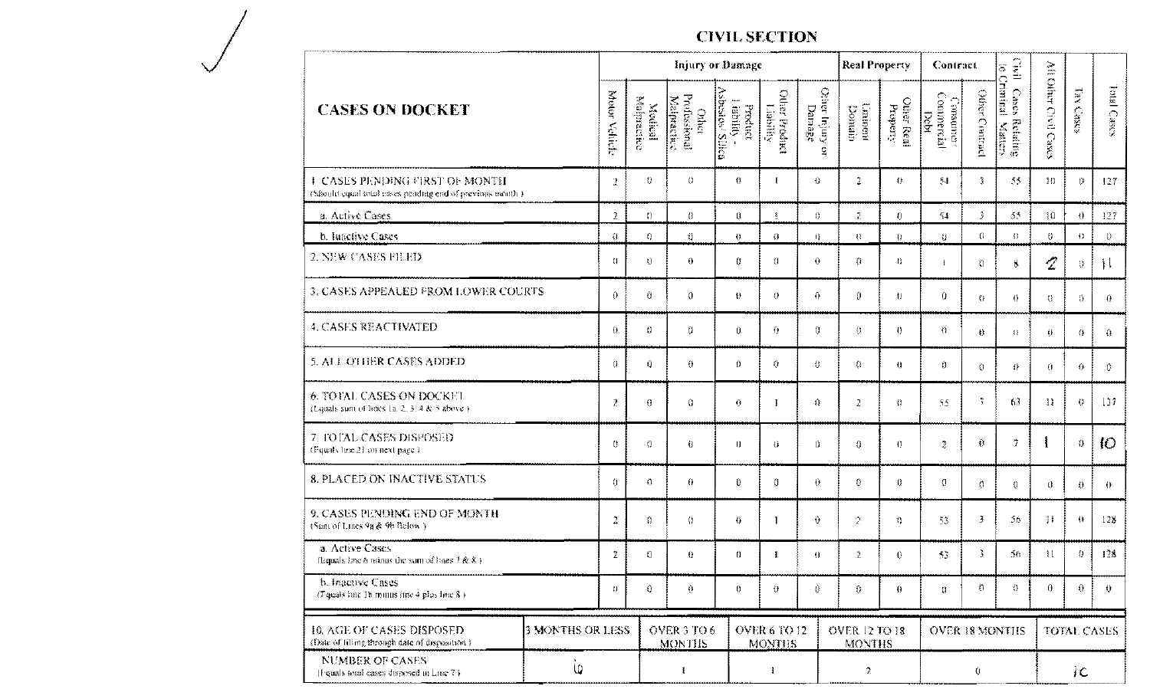# **CIVIL SECTION**

|                                                                                                      |                  |                |                               |                                      | <b>Injury or Damage</b>                                     |                                                                                                                                                                                                                                   |                                | <b>Real Property</b>                  |                                            | $\frac{1}{2}$<br>Contract<br>៊                                       |                |                      |                       |                  |               |
|------------------------------------------------------------------------------------------------------|------------------|----------------|-------------------------------|--------------------------------------|-------------------------------------------------------------|-----------------------------------------------------------------------------------------------------------------------------------------------------------------------------------------------------------------------------------|--------------------------------|---------------------------------------|--------------------------------------------|----------------------------------------------------------------------|----------------|----------------------|-----------------------|------------------|---------------|
| <b>CASES ON DOCKET</b>                                                                               |                  | Motor Vehicle  | Malpricited<br><b>Redical</b> | Professional<br>Malpracticy<br>Other | sbestos <sup>7</sup> Silica<br><b>Alidionity</b><br>Product | $\frac{1}{2}$ subset to the control of the set of the set of the set of the set of the set of the set of the set of the set of the set of the set of the set of the set of the set of the set of the set of the set of the set of | Sgambal<br>Tulini ranico<br>Ē, | Domain                                | <b>Other Real</b><br>$\lambda \mathrm{mM}$ | Conmercial <sup>.</sup><br>Ommercial <sup>.</sup><br>$($ (smstrumer- | Other Contract | al Cases<br>Criminal | All Other Civil Cases | <b>Tax Cases</b> | Total Cases   |
| <b>I CASES PENDING FIRST OF MONTH</b><br>(Micalif equal total cases peading end of previous manth.). |                  | $\mathbf{r}$   | Ü                             | $\Omega$                             | 0                                                           |                                                                                                                                                                                                                                   | €                              | $\ddot{2}$                            | ŧ).                                        | -54                                                                  | Ĵ              | 55                   | 10                    | Ü                | 127           |
| a. Active Cases                                                                                      |                  | $\mathbb{Z}$   | $\left($                      | $\langle \rangle$                    | $\theta$                                                    | $\frac{3}{4}$                                                                                                                                                                                                                     | 0.                             | $\overline{\mathbb{R}}$               | Ů                                          | -54                                                                  | 3              | $55$                 | 10                    | $\theta$         | 127           |
| b. Juactive Cases                                                                                    |                  | Û              | 0                             | ŧ.                                   | 0                                                           | ₿                                                                                                                                                                                                                                 | 1}                             | €                                     | $\begin{array}{c} \n\end{array}$           | Ù.                                                                   | $\mathbb{O}$   | $\langle \rangle$    | €                     | Đ.               | €             |
| 2. NEW CASES FILED                                                                                   |                  | Ù.             | $\mathbf{0}$                  | ♦                                    | Û.                                                          | Ű.                                                                                                                                                                                                                                | ♦                              | Ù                                     | U.                                         |                                                                      | €              | ģ.                   | 2                     | ₿                | $\mathcal{H}$ |
| 3. CASES APPEALED FROM LOWER COURTS                                                                  |                  | Û              | Ŭ                             | 0                                    | ₿                                                           | $\theta$                                                                                                                                                                                                                          | €                              | Ü                                     | €                                          | 0                                                                    | G              | $\theta$             | Ü                     | ₿                | Û.            |
| <b>4. CASES REACTIVATED</b>                                                                          |                  | $\Omega$       | $\theta$                      | €                                    | 0                                                           | ∯                                                                                                                                                                                                                                 | 0                              | $\Omega$                              | $\theta$                                   | €                                                                    | $\theta$       | $\overline{\xi}$ )   | Ö.                    | $^{(3)}$         | €             |
| 5. ALL OTHER CASES ADDED                                                                             |                  | 0              | $\theta$                      | €                                    | Ò.                                                          | ♦                                                                                                                                                                                                                                 | €                              | €                                     | €                                          | Ò.                                                                   | Û              | €                    | 0                     | ♦                | 0.            |
| 6. TOTAL CASES ON DOCKET<br>(Lquals sum of boas in 2, 3, 4 & 5 above)                                |                  | 2              | Ü.                            | Ω.                                   | Û.                                                          |                                                                                                                                                                                                                                   | €                              | $\overline{2}$                        | Đ.                                         | 55                                                                   | 3              | -63                  | $\mathbbm{1}$         | Ö                | $137$         |
| 7. TO TAL CASES DISPOSED<br>(Equals line 21 on next page ).                                          |                  | €              | Ű                             | €                                    | 0                                                           | Đ                                                                                                                                                                                                                                 | 0                              | 0                                     | 0                                          | $\ddot{z}$                                                           | $\theta$       | 7                    |                       | $\Omega$         | $\mathcal{O}$ |
| <b>8. PLACED ON INACTIVE STATUS</b>                                                                  |                  | Ù              | 0                             | €⊧                                   | Û.                                                          | Ű                                                                                                                                                                                                                                 | ♦                              | €                                     | Q                                          | $\mathbf{0}$                                                         | €              | $\Omega$             | O                     | 苷                | $\{ \}$       |
| 9. CASES PENDING END OF MONTH<br>(Sam of Lines 9a & 9b Below)                                        |                  | $\frac{2}{4}$  | 0                             | $\langle \rangle$                    | 0                                                           |                                                                                                                                                                                                                                   | Ü                              | 2                                     | 0                                          | 53                                                                   | 3              | 56                   | Ħ                     | 0                | 128           |
| a. Active Cases<br>(laquals line 6 minus the sum of lines $7 \& 8.3$ )                               |                  | $\overline{2}$ | Ũ                             | €                                    | 0                                                           |                                                                                                                                                                                                                                   | $\theta$                       | $\mathfrak{X}$                        | 0.                                         | 53                                                                   | 3.             | Ñ.                   | Ħ                     | 41               | 128           |
| <b>b.</b> Inactive Cases<br>(Fquats line 1b muins inte 4 plus line 8.)                               |                  | $\mathfrak{t}$ | 0                             | ⊙                                    | ΰ.                                                          | €                                                                                                                                                                                                                                 | ♦                              | $\pmb{\mathfrak{h}}$                  | $\mathbf{0}$                               | $\mathbf{0}$                                                         | 0.             | ₫                    | 0.                    | €                | ₩             |
| 10. AGE OF CASES DISPOSED.<br>(Date of filling Brough date of disposition.)                          | 3 MONTHS OR LESS |                |                               | OVER 3 TO 6<br>MONTHS                |                                                             | OVER 6 TO 12<br><b>MONTHS</b>                                                                                                                                                                                                     |                                | <b>OVER 12 TO 18</b><br><b>MONTHS</b> |                                            | <b>OVER 18 MONTHS</b>                                                |                |                      |                       |                  | TOTAL CASES   |
| <b>NUMBER OF CASES</b><br>(Q<br>(Fquals total cases disposed in Line 7.).                            |                  | $\mathfrak{t}$ |                               |                                      | ł                                                           |                                                                                                                                                                                                                                   | $\mathbf{2}$                   |                                       | 0                                          |                                                                      | jc             |                      |                       |                  |               |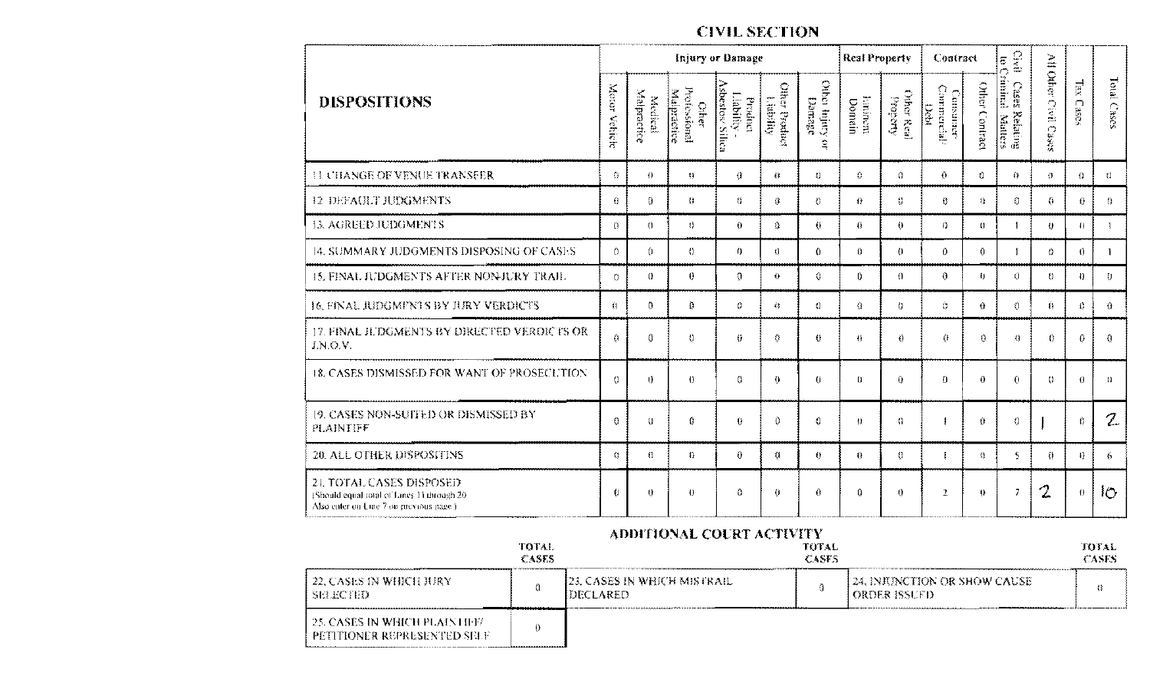## **CIVIL SECTION**

|                                                                                                                    | Injury or Damage<br><b>Real Property</b> |                        |                                                    | Contract                                              |                                    | $\frac{1}{2}$                    | <b>OSTA</b>                    |                               |                                                                  |                |                                          |                       |              |                            |
|--------------------------------------------------------------------------------------------------------------------|------------------------------------------|------------------------|----------------------------------------------------|-------------------------------------------------------|------------------------------------|----------------------------------|--------------------------------|-------------------------------|------------------------------------------------------------------|----------------|------------------------------------------|-----------------------|--------------|----------------------------|
| <b>DISPOSITIONS</b>                                                                                                | Motor<br>Vehiche                         | Malpractice<br>Medical | Professional<br><b>Malpractice</b><br><b>Olher</b> | sbestos/ Silica<br><b>Vilidal.1</b><br><b>Product</b> | Olter Product<br><b>Antiquel 1</b> | AgamA<br>Tunjurudiy<br>$\hat{z}$ | Eminent<br>Domain              | Other Real<br><b>Анадол</b> ( | $\mathrm{Gamma}^+$ . Consumer in $\mathbb{R}^+$<br>$\frac{1}{2}$ | Other Contract | Cases<br>Cininiui<br>Nelating<br>Matters | All Other Civil Caaps | Tax Cases    | Total Cases                |
| <b>IL CHANGE OF VENUE TRANSFER</b>                                                                                 | €                                        | Ĥ                      | ₩                                                  | €                                                     | $\{$                               | $\{ \}$                          | Ð                              | 0                             | Ŏ                                                                | û              | €                                        | Ø.                    | $\Omega$     | ₹                          |
| <b>12 DEFAULT JUDGMENTS</b>                                                                                        | €                                        | Û                      | ₿.                                                 | $\mathfrak{t}^*$                                      | ₩                                  | Ü                                | €                              | Ç.                            | €                                                                | ₿              | €                                        | Ô                     | €            | 0                          |
| 13. AGREED JUDGMENTS                                                                                               | $\mathbb{C}$                             | $\theta$               | $\langle \rangle$                                  | 0.                                                    | €                                  | ♦                                | 0                              | O.                            | 0                                                                | Ù              |                                          | ₫₽                    | $\mathbf{H}$ |                            |
| 14. SUMMARY JUDGMENTS DISPOSING OF CASES                                                                           | $\theta$                                 | $\Omega$               | 0                                                  | $\theta$                                              | $\cup$                             | $\theta$                         | $\theta$                       | $\theta$                      | $\theta$                                                         | $\Omega$       | $\mathbf{1}$                             | $\theta$              | $\theta$     |                            |
| 15. FINAU IUDGMENTS AFTER NON-JURY TRAIL                                                                           | O.                                       | $\Omega$               | ♦                                                  | 0.                                                    | €                                  | $\Omega$                         | 0.                             | 0                             | $\theta$                                                         | Ť.             | $\theta$                                 | ₩.                    | $\{$         | IJ.                        |
| 16. FINAL JUDGMENTS BY JURY VERDICTS                                                                               | $\{\}$                                   | ₿                      | 0.                                                 | 0                                                     | ∢≵                                 | €                                | €                              | Ü.                            | Ù.                                                               | €              | €                                        | ₿                     | O.           | ⊕                          |
| 17. FINAL JEDGMENTS BY DIRECTED VERDIČTS ÖR<br>J.N.O.V.                                                            | €                                        | Û                      | $\{\}$                                             | ij.                                                   | ₿                                  | ₿                                | $\{ \}$                        | Đ.                            | $\{1\}$                                                          | €              | $\ell$                                   | $\mathfrak{g}$        | 0            | Đ.                         |
| 18. CASES DISMISSED FOR WANT OF PROSECETION                                                                        | $\Omega$                                 | $\theta$               | $\theta$                                           | 0                                                     | $\bigcap$                          | $\theta$                         | $\mathbf{0}$                   | 0                             | $\bf{0}$                                                         | $\theta$       | $\theta$                                 | $\cup$                | $\theta$     | O.                         |
| 19. CASES NON-SUITED OR DISMISSED BY<br><b>PLAINTIFF</b>                                                           | $^{1}$                                   | Ĭ.                     | Û                                                  | €                                                     | Ũ                                  | €                                | $\begin{array}{c} \end{array}$ | 0                             | ŧ                                                                | $\Omega$       | €                                        |                       | Û            | $\mathcal{Z}$              |
| 20. ALL OTHER DISPOSITINS                                                                                          | €1                                       | €                      | $\mathbf{B}$                                       | Ô.                                                    | Ð                                  | $\{ \}$                          | €                              | $\mathbb{S}^*$                | ŧ                                                                | $\Omega$       | š.                                       | Ö.                    | $\{\}$       | 6.                         |
| 21. TOTAL CASES DISPOSED<br>(Should equal total of Lines 11 through 20)<br>Also enter on Line 7 on previous page.) | ŧ                                        | $\theta$               | $\theta$                                           | 0                                                     | $\bigcap$                          | ♦                                | 0                              | $\theta$                      | $\mathbf{r}$                                                     | $\theta$       | $\overline{7}$                           | $\mathfrak{2}$        | $\theta$     | $\mathfrak{b}_\mathcal{O}$ |

# ADDITIONAL COURT ACTIVITY

|                                                                     | TOTAL.<br>CASES |                                              | TOTAL.<br>CASES |                                                        | TOTAL<br>CASES |
|---------------------------------------------------------------------|-----------------|----------------------------------------------|-----------------|--------------------------------------------------------|----------------|
| 22. CASES IN WHICH HJRY  <br>-SELECTED-                             |                 | [23. CASES IN WHICH MISTRAIL]<br>I DECLARED. |                 | ] 24. INJUNCTION OR SHOW CAUSE.<br><b>ORDER ISSUED</b> |                |
| 25. CASES IN WHICH PLAIN HEF/<br><b>PETITIONER REPRESENTED SELF</b> |                 |                                              |                 |                                                        |                |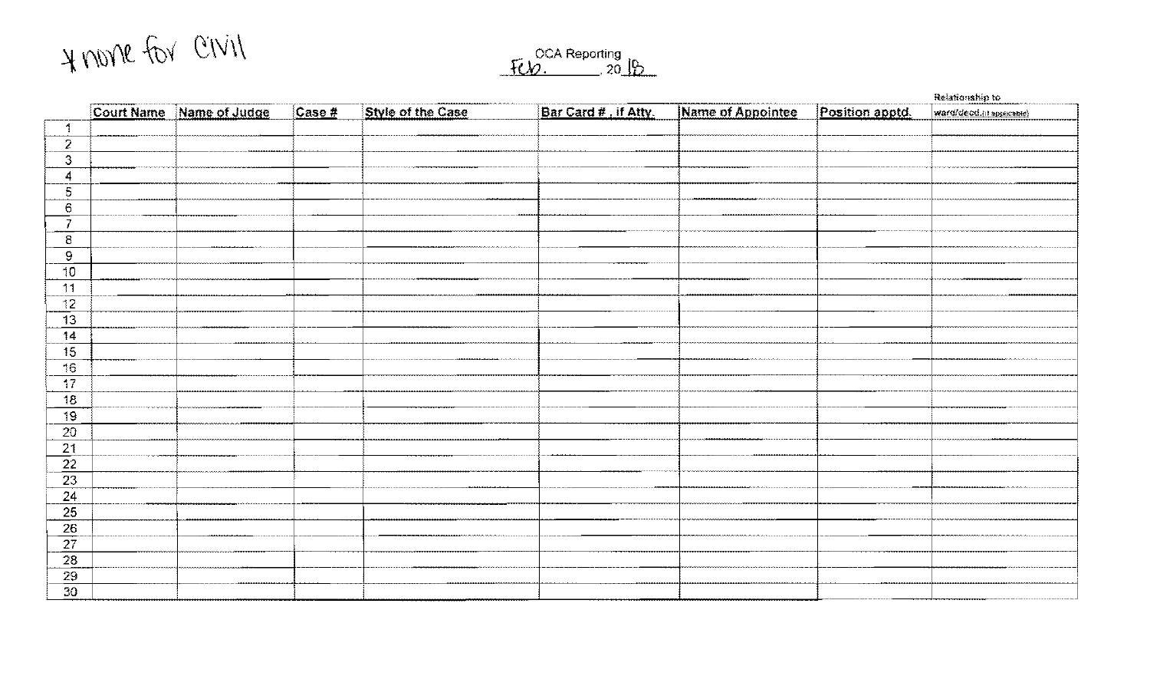HNOUS for CIVIL



|                 |                          |       |                          |                      |                   |                 | Relationship to                |
|-----------------|--------------------------|-------|--------------------------|----------------------|-------------------|-----------------|--------------------------------|
|                 | Court Name Name of Judge | Case# | <b>Style of the Case</b> | Bar Card #, if Atty. | Name of Appointee | Position apptd. | <b>Ward/decd.fil spokable)</b> |
| 1               |                          |       |                          |                      |                   |                 |                                |
| 2               |                          |       |                          |                      |                   |                 |                                |
| $\mathfrak{S}$  |                          |       |                          |                      |                   |                 |                                |
| 4               |                          |       |                          |                      |                   |                 |                                |
| 5               |                          |       |                          |                      |                   |                 |                                |
| 6               |                          |       |                          |                      |                   |                 |                                |
| $\mathcal{I}$   |                          |       |                          |                      |                   |                 |                                |
| 8               |                          |       |                          |                      |                   |                 |                                |
| 9               |                          |       |                          |                      |                   |                 |                                |
| $\overline{10}$ |                          |       |                          |                      |                   |                 |                                |
| 11              |                          |       |                          |                      |                   |                 |                                |
| 12              |                          |       |                          |                      |                   |                 |                                |
| $\overline{13}$ |                          |       |                          |                      |                   |                 |                                |
| 14              |                          |       |                          |                      |                   |                 |                                |
| $\overline{15}$ |                          |       |                          |                      |                   |                 |                                |
| $\overline{16}$ |                          |       |                          |                      |                   |                 |                                |
| $\overline{17}$ |                          |       |                          |                      |                   |                 |                                |
| $\overline{18}$ |                          |       |                          |                      |                   |                 |                                |
| 19              |                          |       |                          |                      |                   |                 |                                |
| 20              |                          |       |                          |                      |                   |                 |                                |
| 21              |                          |       |                          |                      |                   |                 |                                |
| 22              |                          |       |                          |                      |                   |                 |                                |
| 23              |                          |       |                          |                      |                   |                 |                                |
| $\overline{24}$ |                          |       |                          |                      |                   |                 |                                |
| 25              |                          |       |                          |                      |                   |                 |                                |
| $\overline{26}$ |                          |       |                          |                      |                   |                 |                                |
| 27              |                          |       |                          |                      |                   |                 |                                |
| $\overline{28}$ |                          |       |                          |                      |                   |                 |                                |
| 29              |                          |       |                          |                      |                   |                 |                                |
| 30              |                          |       |                          |                      |                   |                 |                                |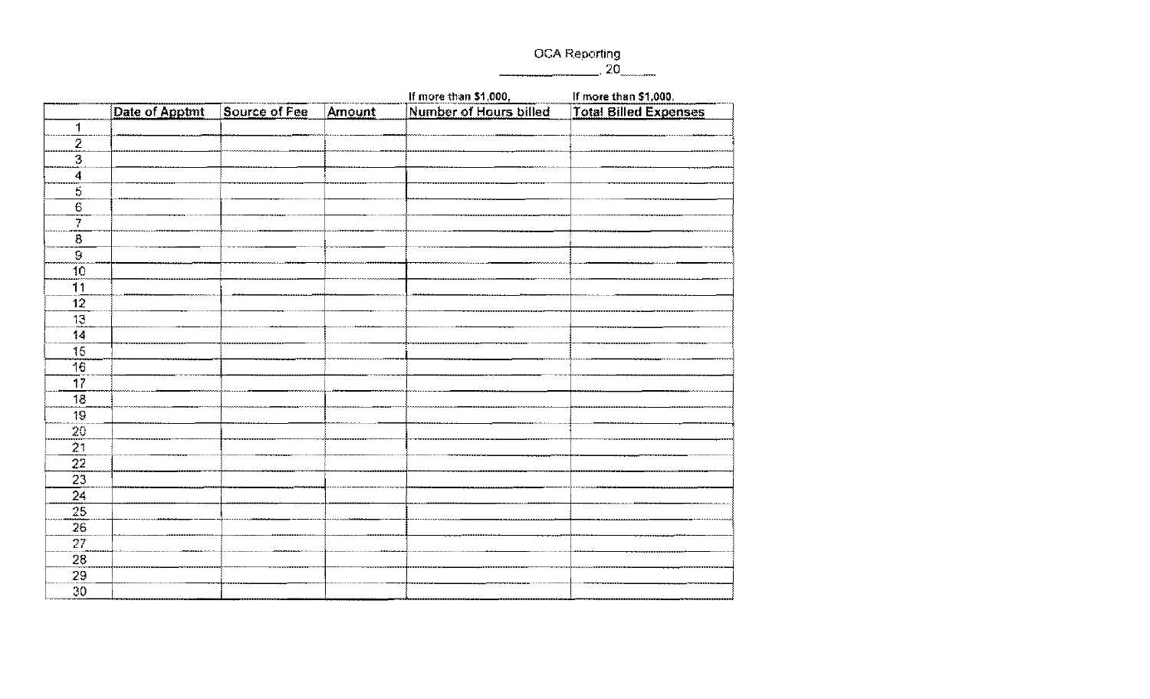|                 |                |               |        | If more than \$1,000,         | If more than \$1,000.        |  |  |
|-----------------|----------------|---------------|--------|-------------------------------|------------------------------|--|--|
|                 | Date of Apptmt | Source of Fee | Amount | <b>Number of Hours billed</b> | <b>Total Billed Expenses</b> |  |  |
| 1               |                |               |        |                               |                              |  |  |
|                 |                |               |        |                               |                              |  |  |
| $\frac{2}{3}$   |                |               |        |                               |                              |  |  |
| 4               |                |               |        |                               |                              |  |  |
| 5               |                |               |        |                               |                              |  |  |
| $\overline{6}$  |                |               |        |                               |                              |  |  |
| 7               |                |               |        |                               |                              |  |  |
| $\bf 8$         |                |               |        |                               |                              |  |  |
| $\overline{9}$  |                |               |        |                               |                              |  |  |
| 10              |                |               |        |                               |                              |  |  |
| $\overline{11}$ |                |               |        |                               |                              |  |  |
| 12              |                |               |        |                               |                              |  |  |
| $\overline{13}$ |                |               |        |                               |                              |  |  |
| 14              |                |               |        |                               |                              |  |  |
| $\overline{15}$ |                |               |        |                               |                              |  |  |
| $\overline{16}$ |                |               |        |                               |                              |  |  |
| $\overline{17}$ |                |               |        |                               |                              |  |  |
| 18              |                |               |        |                               |                              |  |  |
| $19$            |                |               |        |                               |                              |  |  |
| $20\,$          |                |               |        |                               |                              |  |  |
| $\overline{21}$ |                |               |        |                               |                              |  |  |
| $\overline{22}$ |                |               |        |                               |                              |  |  |
| $\overline{23}$ |                |               |        |                               |                              |  |  |
| $\overline{24}$ |                |               |        |                               |                              |  |  |
| $\overline{25}$ |                |               |        |                               |                              |  |  |
| $\overline{26}$ |                |               |        |                               |                              |  |  |
| 27              |                |               |        |                               |                              |  |  |
| 28              |                |               |        |                               |                              |  |  |
| 29              |                |               |        |                               |                              |  |  |
| $\overline{30}$ |                |               |        |                               |                              |  |  |
|                 |                |               |        |                               |                              |  |  |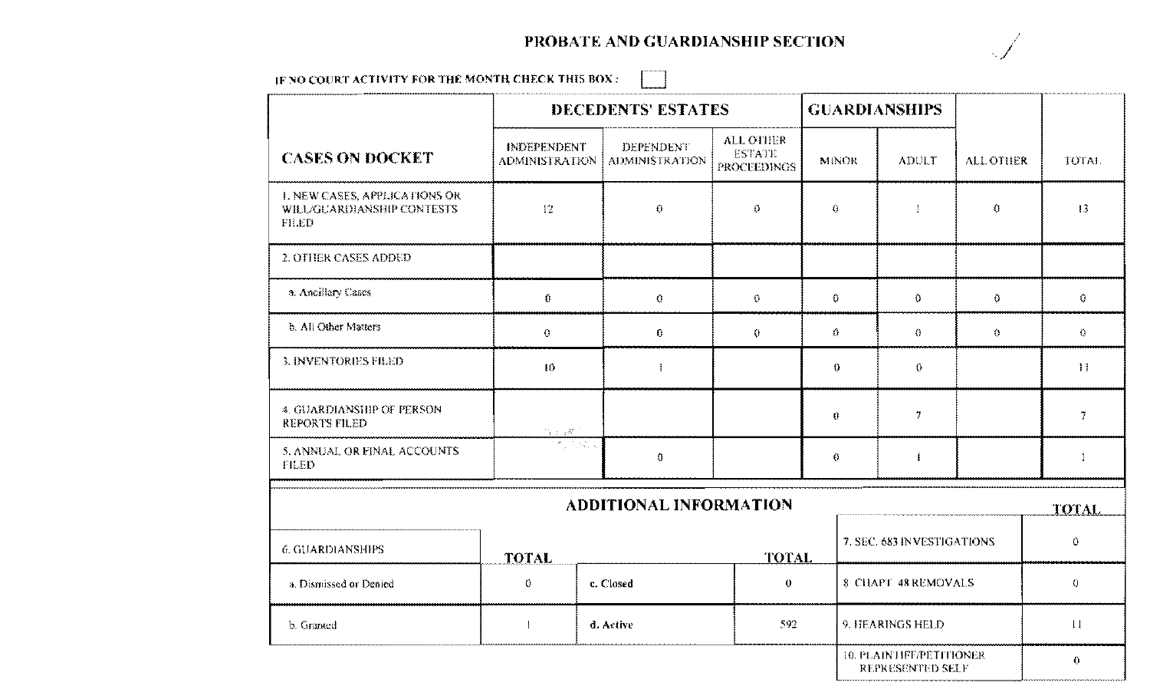## PROBATE AND GUARDIANSHIP SECTION

**Contract** 



|                                                                            |                                             | <b>DECEDENTS' ESTATES</b>                 |                                                  |                  | <b>GUARDIANSHIPS</b>                         |           |                                       |
|----------------------------------------------------------------------------|---------------------------------------------|-------------------------------------------|--------------------------------------------------|------------------|----------------------------------------------|-----------|---------------------------------------|
| <b>CASES ON DOCKET</b>                                                     | <b>INDEPENDENT</b><br><b>ADMINISTRATION</b> | <b>DEPENDENT</b><br><b>ADMINISTRATION</b> | ALL OTHER<br><b>ESTATE</b><br><b>PROCLEDINGS</b> | MINOR            | <b>ADULT</b>                                 | ALL OTHER | TOTAL                                 |
| <b>L NEW CASES, APPLICATIONS OR</b><br>WILL/GUARDIANSHIP CONTESTS<br>FILED | $12\,$                                      | $\pmb{\theta}$                            | $\Omega$                                         | ♦                | Ŧ                                            | 0         | 13                                    |
| 2. OTHER CASES ADDED                                                       |                                             |                                           |                                                  |                  |                                              |           |                                       |
| a. Ancillary Cases                                                         | Ű                                           | $\pmb{\Omega}$                            | $\mathbb O$                                      | O.               | O.                                           | 0         | $\mathbf Q$                           |
| b. All Other Matters                                                       | $\mathbf{0}$                                | $\mathbf 0$                               | $\Omega$                                         | ₿                | 0                                            | ♦         | $\Omega$                              |
| 3. INVENTORIES FILED                                                       | 10                                          | $\mathbb{I}$                              |                                                  | $\bullet$        | $\pmb{\theta}$                               |           | $\begin{array}{c} 1 \\ 1 \end{array}$ |
| 4. GUARDIANSHIP OF PERSON<br>REPORTS FILED                                 | 白玉屋町                                        |                                           |                                                  | $\pmb{0}$        | $\overline{\gamma}$                          |           | 7                                     |
| 5. ANNUAL OR FINAL ACCOUNTS<br><b>FILED</b>                                | 1d Au                                       | 0                                         |                                                  | $\bullet$        | $\mathbf{f}$                                 |           | $\overline{\phantom{a}}$              |
|                                                                            |                                             | <b>ADDITIONAL INFORMATION</b>             |                                                  |                  |                                              |           | <b>TOTAL</b>                          |
| 6. GUARDIANSHIPS                                                           | <b>TOTAL</b>                                |                                           | <b>TOTAL</b>                                     |                  | 7. SEC. 683 INVESTIGATIONS                   |           | 0                                     |
| a. Dismissed or Denied                                                     | 0                                           | c. Closed                                 | $\theta$                                         |                  | 8 CHAPT. 48 REMOVALS                         |           | $\overline{O}$                        |
| b. Granted                                                                 | $\mathbf{I}$                                | d. Active                                 | 592                                              | 9. HEARINGS HELD |                                              |           | $\mathbf{H}$                          |
|                                                                            |                                             |                                           |                                                  |                  | 10. PLAINTIFF/PETITIONER<br>REPRESENTED SELF |           | $\bullet$                             |

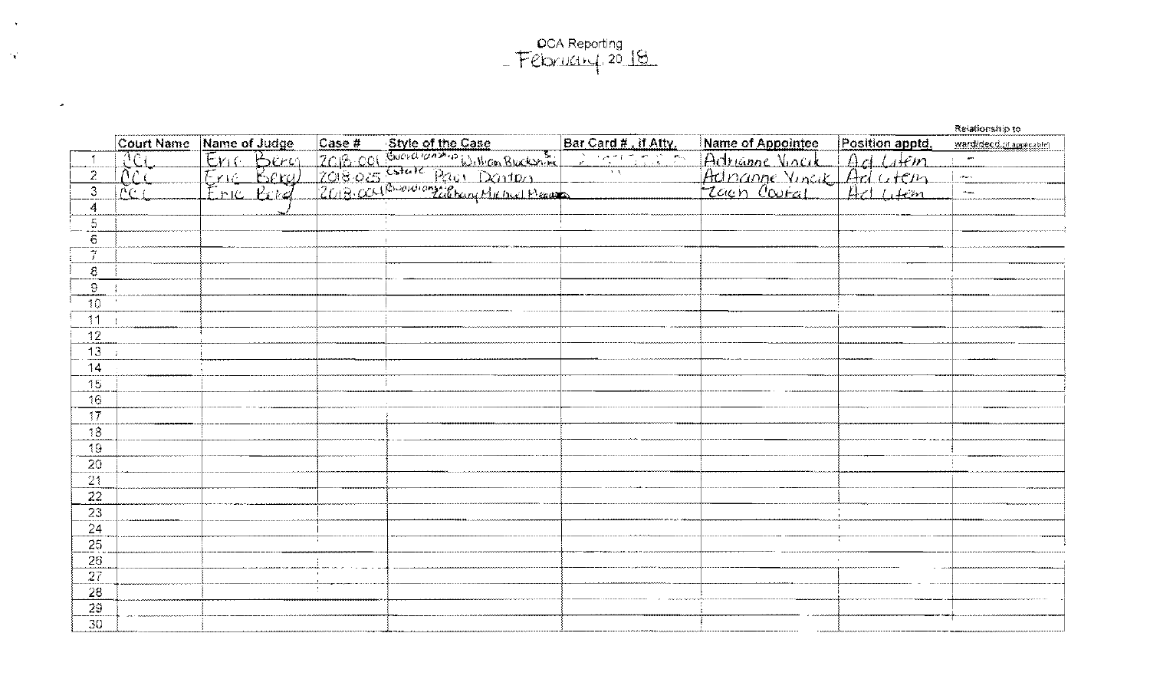# Pebruary 2018

 $\mathbf{v}$ 

 $\mathcal{S}_{\mathbf{t}}^{\mathcal{S}}$ 

 $\hat{\phantom{a}}$ 

|                 |                       |                        |  |                            |                  | нечаловано то              |
|-----------------|-----------------------|------------------------|--|----------------------------|------------------|----------------------------|
|                 | <b>Court Name</b>     | Name of Judge          |  | Name of Appointee          | Position apptd.  | ward/decd.(if applicable)  |
|                 | . A C L               | Eric Berg<br>Eric Berg |  | Adrianne Vincik   Ad Litem |                  | $\pm$ 1.0 $\pm$            |
| $\overline{2}$  | $\overline{\rho_{C}}$ |                        |  | Adrianne Vincik Art Liter  |                  | $\mu_{\rm max}$            |
| $\mathfrak{Z}$  | $\ell \in \ell$       | Eric Bord              |  | Feach Coural               | $Act$ <i>Hem</i> | $\mathcal{M}_{\text{max}}$ |
| 4               |                       |                        |  |                            |                  |                            |
| 5               |                       |                        |  |                            |                  |                            |
| 6               |                       |                        |  |                            |                  |                            |
| $\overline{7}$  |                       |                        |  |                            |                  |                            |
| $\bf 8$         |                       |                        |  |                            |                  |                            |
| 9               |                       |                        |  |                            |                  |                            |
| 10              |                       |                        |  |                            |                  |                            |
| 11              |                       |                        |  |                            |                  |                            |
| 12              |                       |                        |  |                            |                  |                            |
| 13 <sup>°</sup> |                       |                        |  |                            |                  |                            |
| $\overline{14}$ |                       |                        |  |                            |                  |                            |
| 15              |                       |                        |  |                            |                  |                            |
| 16              |                       |                        |  |                            |                  |                            |
| $\overline{17}$ |                       |                        |  |                            |                  |                            |
| 18              |                       |                        |  |                            |                  |                            |
| 19              |                       |                        |  |                            |                  |                            |
| 20              |                       |                        |  |                            |                  |                            |
| 21              |                       |                        |  |                            |                  |                            |
| 22              |                       |                        |  |                            |                  |                            |
| 23              |                       |                        |  |                            |                  |                            |
| 24              |                       |                        |  |                            |                  |                            |
| $\overline{25}$ |                       |                        |  |                            |                  |                            |
| 26              |                       |                        |  |                            |                  |                            |
| 27              |                       |                        |  |                            |                  |                            |
| 28              |                       |                        |  |                            |                  |                            |
| 29              |                       |                        |  |                            |                  |                            |
| 30              |                       |                        |  |                            |                  |                            |

Delationship of